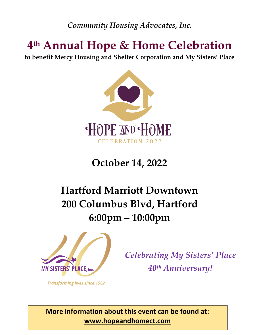*Community Housing Advocates, Inc.*

# **4th Annual Hope & Home Celebration**

**to benefit Mercy Housing and Shelter Corporation and My Sisters' Place**



# **October 14, 2022**

# **Hartford Marriott Downtown 200 Columbus Blvd, Hartford 6:00pm – 10:00pm**



*Celebrating My Sisters' Place 40th Anniversary!*

**Transforming lives since 1982** 

 **www.hopeandhomect.com More information about this event can be found at:**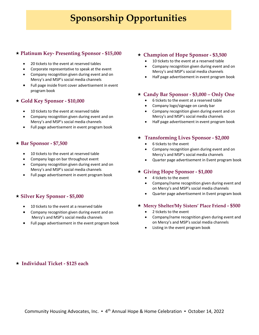## **Sponsorship Opportunities**

#### « **Platinum Key- Presenting Sponsor - \$15,000**

- 20 tickets to the event at reserved tables
- Corporate representative to speak at the event
- Company recognition given during event and on Mercy's and MSP's social media channels
- Full page inside front cover advertisement in event program book

#### « **Gold Key Sponsor - \$10,000**

- 10 tickets to the event at reserved table
- Company recognition given during event and on Mercy's and MSP's social media channels
- Full page advertisement in event program book

#### « **Bar Sponsor - \$7,500**

- 10 tickets to the event at reserved table
- Company logo on bar throughout event
- Company recognition given during event and on Mercy's and MSP's social media channels
- Full page advertisement in event program book

#### « **Silver Key Sponsor - \$5,000**

- 10 tickets to the event at a reserved table
- Company recognition given during event and on Mercy's and MSP's social media channels
- Full page advertisement in the event program book

#### « **Champion of Hope Sponsor - \$3,500**

- 10 tickets to the event at a reserved table
- Company recognition given during event and on Mercy's and MSP's social media channels
- Half page advertisement in event program book

#### « **Candy Bar Sponsor - \$3,000 – Only One**

- 6 tickets to the event at a reserved table
- Company logo/signage on candy bar
- Company recognition given during event and on Mercy's and MSP's social media channels
- Half page advertisement in event program book

#### « **Transforming Lives Sponsor - \$2,000**

- 6 tickets to the event
- Company recognition given during event and on Mercy's and MSP's social media channels
- Quarter page advertisement in Event program book

#### « **Giving Hope Sponsor - \$1,000**

- 4 tickets to the event
- Company/name recognition given during event and on Mercy's and MSP's social media channels
- Quarter page advertisement in Event program book

#### « **Mercy Shelter/My Sisters' Place Friend - \$500**

- 2 tickets to the event
- Company/name recognition given during event and on Mercy's and MSP's social media channels
- Listing in the event program book

#### « **Individual Ticket - \$125 each**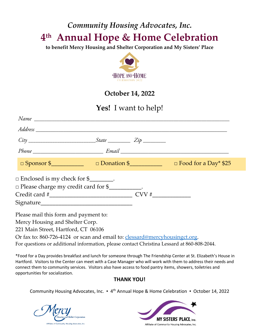## *Community Housing Advocates, Inc.* **4th Annual Hope & Home Celebration**

**to benefit Mercy Housing and Shelter Corporation and My Sisters' Place**



### **October 14, 2022**

### **Yes!** I want to help!

| $\Box$ Enclosed is my check for $\$\_\_\_\_\_\_\_$ .<br>$\Box$ Please charge my credit card for $\$\underline{\hspace{2cm}}$ .                                                                |  |  |  |
|-----------------------------------------------------------------------------------------------------------------------------------------------------------------------------------------------|--|--|--|
| Please mail this form and payment to:<br>Mercy Housing and Shelter Corp.<br>221 Main Street, Hartford, CT 06106<br>Or fax to: 860-726-4124 or scan and email to: clessard@mercyhousingct.org. |  |  |  |
| For questions or additional information, please contact Christina Lessard at 860-808-2044.                                                                                                    |  |  |  |

\*Food for a Day provides breakfast and lunch for someone through The Friendship Center at St. Elizabeth's House in Hartford. Visitors to the Center can meet with a Case Manager who will work with them to address their needs and connect them to community services. Visitors also have access to food pantry items, showers, toiletries and opportunities for socialization.

#### **THANK YOU!**

Community Housing Advocates, Inc. ▪ 4th Annual Hope & Home Celebration ▪ October 14, 2022